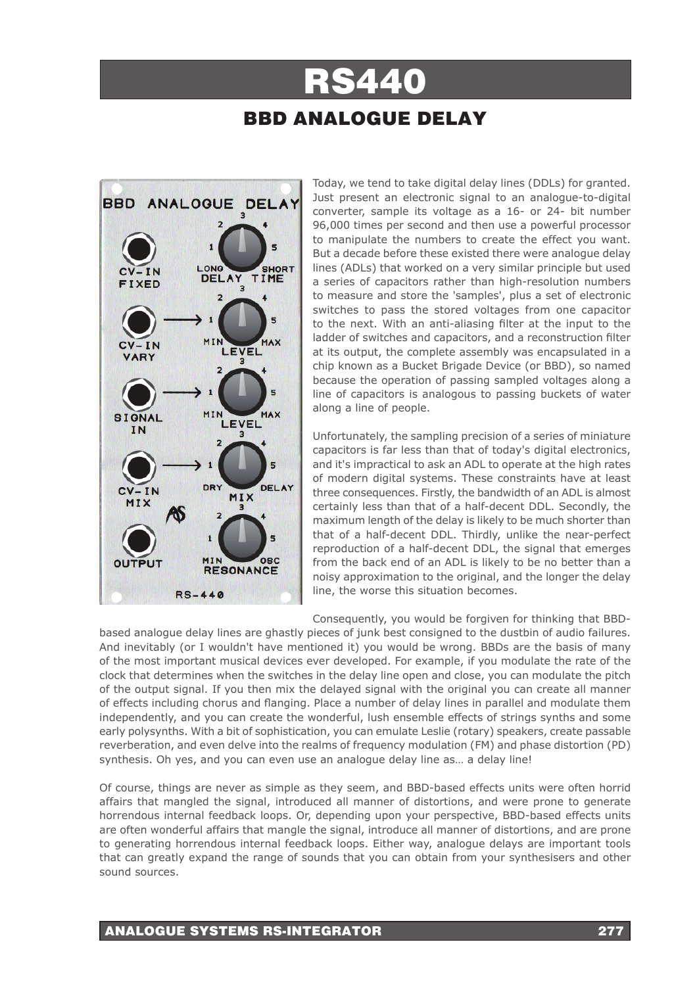# RS440

# BBD ANALOGUE DELAY



Today, we tend to take digital delay lines (DDLs) for granted. Just present an electronic signal to an analogue-to-digital converter, sample its voltage as a 16- or 24- bit number 96,000 times per second and then use a powerful processor to manipulate the numbers to create the effect you want. But a decade before these existed there were analogue delay lines (ADLs) that worked on a very similar principle but used a series of capacitors rather than high-resolution numbers to measure and store the 'samples', plus a set of electronic switches to pass the stored voltages from one capacitor to the next. With an anti-aliasing filter at the input to the ladder of switches and capacitors, and a reconstruction filter at its output, the complete assembly was encapsulated in a chip known as a Bucket Brigade Device (or BBD), so named because the operation of passing sampled voltages along a line of capacitors is analogous to passing buckets of water along a line of people.

Unfortunately, the sampling precision of a series of miniature capacitors is far less than that of today's digital electronics, and it's impractical to ask an ADL to operate at the high rates of modern digital systems. These constraints have at least three consequences. Firstly, the bandwidth of an ADL is almost certainly less than that of a half-decent DDL. Secondly, the maximum length of the delay is likely to be much shorter than that of a half-decent DDL. Thirdly, unlike the near-perfect reproduction of a half-decent DDL, the signal that emerges from the back end of an ADL is likely to be no better than a noisy approximation to the original, and the longer the delay line, the worse this situation becomes.

Consequently, you would be forgiven for thinking that BBD-

based analogue delay lines are ghastly pieces of junk best consigned to the dustbin of audio failures. And inevitably (or I wouldn't have mentioned it) you would be wrong. BBDs are the basis of many of the most important musical devices ever developed. For example, if you modulate the rate of the clock that determines when the switches in the delay line open and close, you can modulate the pitch of the output signal. If you then mix the delayed signal with the original you can create all manner of effects including chorus and flanging. Place a number of delay lines in parallel and modulate them independently, and you can create the wonderful, lush ensemble effects of strings synths and some early polysynths. With a bit of sophistication, you can emulate Leslie (rotary) speakers, create passable reverberation, and even delve into the realms of frequency modulation (FM) and phase distortion (PD) synthesis. Oh yes, and you can even use an analogue delay line as... a delay line!

Of course, things are never as simple as they seem, and BBD-based effects units were often horrid affairs that mangled the signal, introduced all manner of distortions, and were prone to generate horrendous internal feedback loops. Or, depending upon your perspective, BBD-based effects units are often wonderful affairs that mangle the signal, introduce all manner of distortions, and are prone to generating horrendous internal feedback loops. Either way, analogue delays are important tools that can greatly expand the range of sounds that you can obtain from your synthesisers and other sound sources.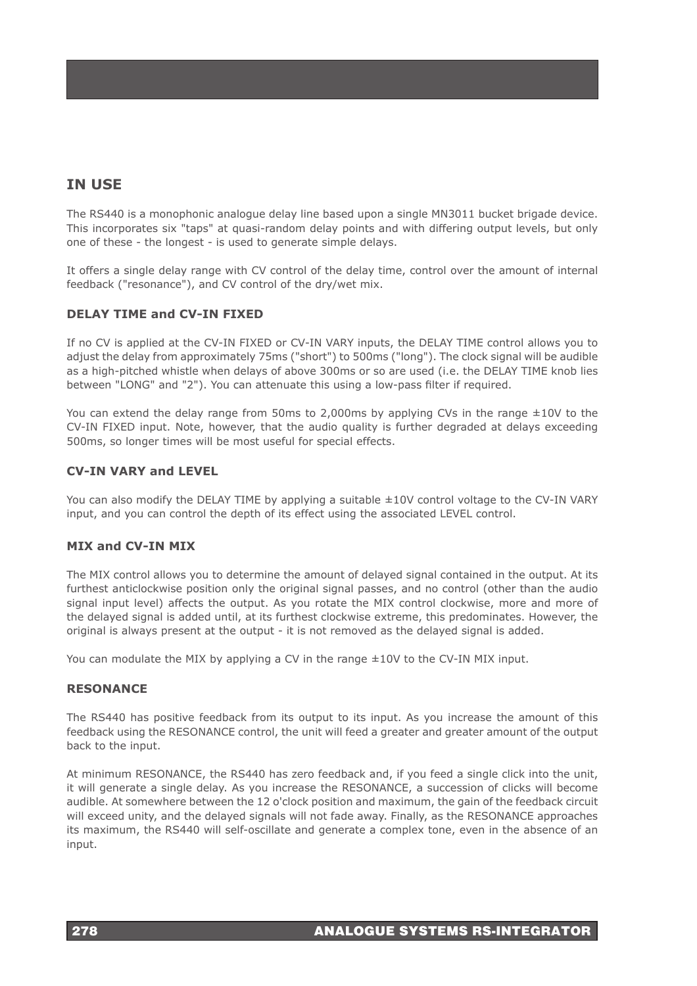## **IN USE**

The RS440 is a monophonic analogue delay line based upon a single MN3011 bucket brigade device. This incorporates six "taps" at quasi-random delay points and with differing output levels, but only one of these - the longest - is used to generate simple delays.

It offers a single delay range with CV control of the delay time, control over the amount of internal feedback ("resonance"), and CV control of the dry/wet mix.

#### **DELAY TIME and CV-IN FIXED**

If no CV is applied at the CV-IN FIXED or CV-IN VARY inputs, the DELAY TIME control allows you to adjust the delay from approximately 75ms ("short") to 500ms ("long"). The clock signal will be audible as a high-pitched whistle when delays of above 300ms or so are used (i.e. the DELAY TIME knob lies between "LONG" and "2"). You can attenuate this using a low-pass filter if required.

You can extend the delay range from 50ms to 2,000ms by applying CVs in the range  $\pm 10$ V to the CV-IN FIXED input. Note, however, that the audio quality is further degraded at delays exceeding 500ms, so longer times will be most useful for special effects.

#### **CV-IN VARY and LEVEL**

You can also modify the DELAY TIME by applying a suitable ±10V control voltage to the CV-IN VARY input, and you can control the depth of its effect using the associated LEVEL control.

#### **MIX and CV-IN MIX**

The MIX control allows you to determine the amount of delayed signal contained in the output. At its furthest anticlockwise position only the original signal passes, and no control (other than the audio signal input level) affects the output. As you rotate the MIX control clockwise, more and more of the delayed signal is added until, at its furthest clockwise extreme, this predominates. However, the original is always present at the output - it is not removed as the delayed signal is added.

You can modulate the MIX by applying a CV in the range  $\pm 10V$  to the CV-IN MIX input.

#### **RESONANCE**

The RS440 has positive feedback from its output to its input. As you increase the amount of this feedback using the RESONANCE control, the unit will feed a greater and greater amount of the output back to the input.

At minimum RESONANCE, the RS440 has zero feedback and, if you feed a single click into the unit, it will generate a single delay. As you increase the RESONANCE, a succession of clicks will become audible. At somewhere between the 12 o'clock position and maximum, the gain of the feedback circuit will exceed unity, and the delayed signals will not fade away. Finally, as the RESONANCE approaches its maximum, the RS440 will self-oscillate and generate a complex tone, even in the absence of an input.